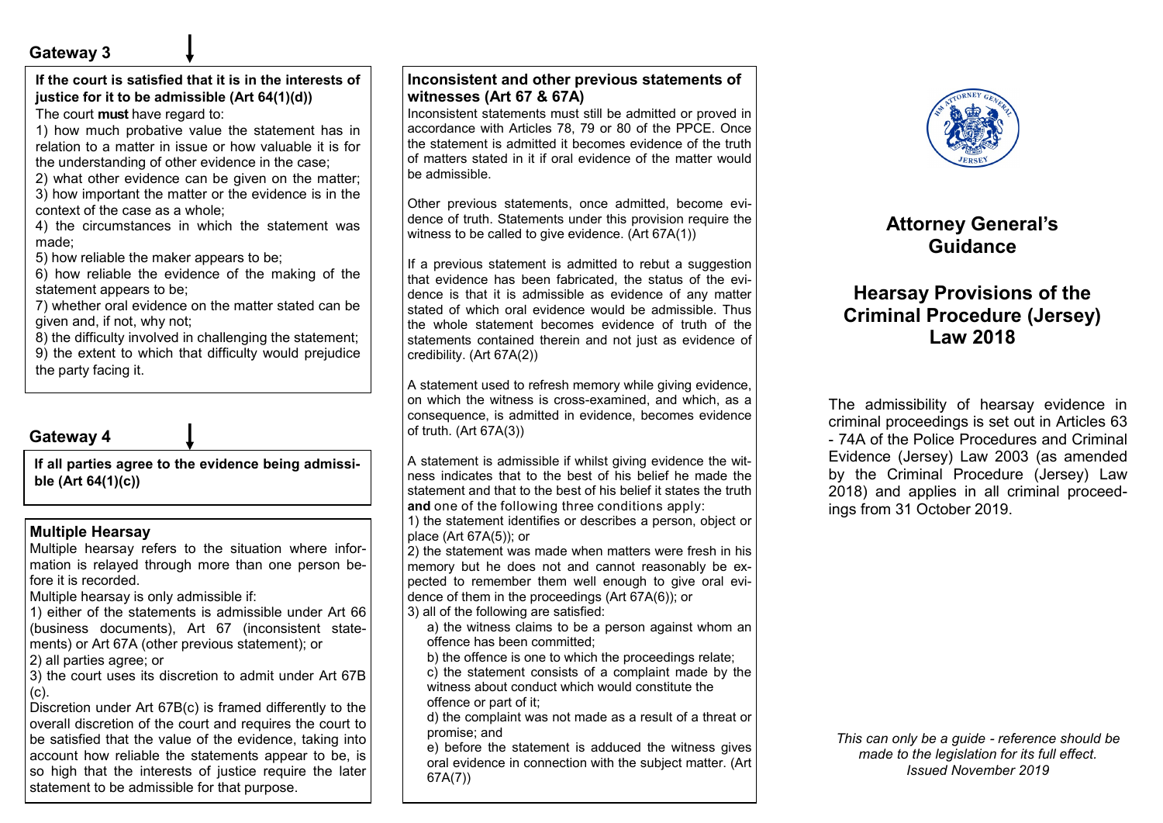## **Gateway 3**

**If the court is satisfied that it is in the interests of justice for it to be admissible (Art 64(1)(d))** The court **must** have regard to:

1) how much probative value the statement has in relation to a matter in issue or how valuable it is for the understanding of other evidence in the case;

2) what other evidence can be given on the matter;

3) how important the matter or the evidence is in the context of the case as a whole;

4) the circumstances in which the statement was made;

5) how reliable the maker appears to be;

6) how reliable the evidence of the making of the statement appears to be;

7) whether oral evidence on the matter stated can be given and, if not, why not;

8) the difficulty involved in challenging the statement;

9) the extent to which that difficulty would prejudice the party facing it.

## **Gateway 4**

**If all parties agree to the evidence being admissible (Art 64(1)(c))**

#### **Multiple Hearsay**

Multiple hearsay refers to the situation where information is relayed through more than one person before it is recorded.

Multiple hearsay is only admissible if:

1) either of the statements is admissible under Art 66 (business documents), Art 67 (inconsistent statements) or Art 67A (other previous statement); or

2) all parties agree; or

3) the court uses its discretion to admit under Art 67B (c).

Discretion under Art 67B(c) is framed differently to the overall discretion of the court and requires the court to be satisfied that the value of the evidence, taking into account how reliable the statements appear to be, is so high that the interests of justice require the later statement to be admissible for that purpose.

#### **Inconsistent and other previous statements of witnesses (Art 67 & 67A)**

Inconsistent statements must still be admitted or proved in accordance with Articles 78, 79 or 80 of the PPCE. Once the statement is admitted it becomes evidence of the truth of matters stated in it if oral evidence of the matter would be admissible.

Other previous statements, once admitted, become evidence of truth. Statements under this provision require the witness to be called to give evidence. (Art 67A(1))

If a previous statement is admitted to rebut a suggestion that evidence has been fabricated, the status of the evidence is that it is admissible as evidence of any matter stated of which oral evidence would be admissible. Thus the whole statement becomes evidence of truth of the statements contained therein and not just as evidence of credibility. (Art 67A(2))

A statement used to refresh memory while giving evidence, on which the witness is cross-examined, and which, as a consequence, is admitted in evidence, becomes evidence of truth. (Art 67A(3))

A statement is admissible if whilst giving evidence the witness indicates that to the best of his belief he made the statement and that to the best of his belief it states the truth **and** one of the following three conditions apply:

1) the statement identifies or describes a person, object or place (Art 67A(5)); or

2) the statement was made when matters were fresh in his memory but he does not and cannot reasonably be expected to remember them well enough to give oral evidence of them in the proceedings (Art 67A(6)); or 3) all of the following are satisfied:

a) the witness claims to be a person against whom an offence has been committed;

b) the offence is one to which the proceedings relate; c) the statement consists of a complaint made by the witness about conduct which would constitute the offence or part of it;

d) the complaint was not made as a result of a threat or promise; and

e) before the statement is adduced the witness gives oral evidence in connection with the subject matter. (Art 67A(7))



# **Attorney General's Guidance**

# **Hearsay Provisions of the Criminal Procedure (Jersey) Law 2018**

The admissibility of hearsay evidence in criminal proceedings is set out in Articles 63 - 74A of the Police Procedures and Criminal Evidence (Jersey) Law 2003 (as amended by the Criminal Procedure (Jersey) Law 2018) and applies in all criminal proceedings from 31 October 2019.

*This can only be a guide - reference should be made to the legislation for its full effect. Issued November 2019*